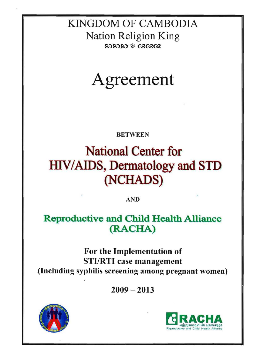## KINGDOM OF CAMBODIA Nation Religion King  $\boldsymbol{\Omega}$ ദേശിക്ക് GRGRGR



### BETWEEN

# National Center for HIV/AIDS, Dermatology and STD (NCHADS)

AND

### Reproductive and Child Health Alliance (RACHA)

### For the Implementation of STI/RTI case management (Including syphilis screening among pregnant women)

 $2009 - 2013$ 



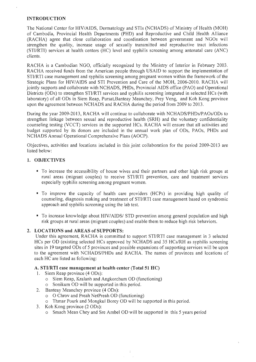#### INTRODUCTION

The National Center for HIV/AIDS, Dermatology and STIs (NCHADS) of Ministry of Health (MOH) Cambodia, Provincial Health Departments (PHD) and Reproductive and Child Health agree that close collaboration and coordination between government and strengthen the quality, increase usage of sexually transmitted and reproductive tract infections  $(STI/RTI)$  services at health centers  $(HC)$  level and syphilis screening among antenatal care  $(ANC)$ clients.

RACHA is a Cambodian NGO, officially recognized by the Ministry of Interior in February 2003. RACHA received funds from the American people through USAID to support the implementation of STI/RTI case management and syphilis screening among pregnant women within the framework of the Strategic Plans for HIV/AIDS and STI Prevention and Care of the MOH, 2006-2010. RACHA will jointly supports and collaborate with NCHADS, PHDs, Provincial AIDS office (PAO) and Operational Districts (ODs) to strengthen STI/RTI services and syphilis screening integrated in selected HCs (with laboratory) of all ODs in Siem Reap, Pursat, Banteay Meanchey, Prey Veng, and Koh Kong province upon the agreement between NCHADS and RACHA during the period from 2009 to 2013.

During the year 2009-2013, RACHA will continue to collaborate with NCHADS/PHDs/PAOs/ODs to strengthen linkage between sexual and reproductive health (SRH) and the voluntary confidentiality counseling testing (VCCT) services in the supported HCs. RACHA will ensure that all activities and budget supported by its donors are included in the annual work plan of ODs, PAOs, PHDs and NCHADS Annual Operational Comprehensive Plans (AOCP).

Objectives, activities and locations included in this joint collaboration for the period 2009-2013 are listed below:

#### 1. OBJECTIVES

- To increase the accessibility of house wives and their partners and other high risk groups at rural areas (migrant couples) to receive STI/RTI prevention, care and treatment services syphilis screening among pregnant women.
- " To improve the capacity of health care providers (HCPs) in providing high quality of counseling, diagnosis making and treatment of STI/RTI case management based on syndromic approach and syphilis screening using the lab test.
- " To increase knowledge about HIV/AIDS/ STD prevention among general population and high risk groups at rural areas (migrant couples) and enable them to reduce high risk behaviors.

#### 2. LOCATIONS and AREAS of SUPPORTS:

Under this agreement, RACHA is committed to support STI/RTI case management in 3 selected HCs per OD (existing selected HCs approved by NCHADS and 35 HCs/RH as syphilis screening sites in 19 targeted ODs of 5 provinces and possible expansions of supporting services will be upon to the agreement with NCHADS/PHDs and RACHA. The names of provinces and locations of each HC are listed as following:

#### A. STI/RTI case management at health center (Total 51 HC)

- 1. Siem Reap province (4 ODs):
	- o Siem Reap, Kralanh and Angkorchum OD (functioning)
	- o Sonikum OD will be supported in this period.
- 2. Banteay Meanchey province (4 ODs):
	- $\circ$  O Chrov and Preah NetPreah OD (functioning)
	- o Thmar Pourk and Mongkul Borey 00 will be supported in this period.
- 3. Koh Kong province
	- o Smach Mean Chey and Sre Ambel OD will be supported in this 5 years period

 $\hat{\mathbf{1}}$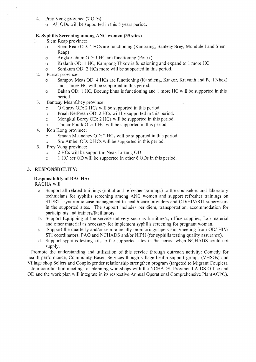- 4. Prey Veng province (7 ODs):
	- o All ODs will be supported in this 5 years period.

#### B. Syphilis Screening among ANC women (35 sties)

- I. Siem Reap province:
	- o Siem Reap 00: 4 HCs are functioning (Kantraing, Banteay Srey, Mundule I and Siem Reap)
	- o Angkor chum 00: 1 HC are functioning (Pourk)
	- o Kralanh 00: 1 HC, Kampong Thkov.is functioning and expand to 1 more HC
	- o Sonikum 00: 2 HCs more will be supported in this period.
- 2. Pursat province:
	- o Sampov Meas 00: 4 HCs are functioning (Kandieng, Krakor, Kravanh and Peal Nhek) and 1 more HC will be supported in this period.
	- o Bakan 00: 1 HC, Boeung khna is functioning and 1 more HC will be supported in this period.
- 3. Banteay MeanChey province:
	- o 0 Chrov 00: 2 HCs will be supported in this period.
	- o Preah NetPreah 00: 2 HCs will be supported in this period.
	- o Mongkul Borey 00: 2 HCs will be supported in this period.
	- o Thmar Pourk 00: 1 HC will be supported in this period
- 4. Koh Kong province:
	- o Smach Meanchey 00: 2 HCs will be supported in this period.
	- <sup>o</sup> Sre Ambel 00: 2 HCs will be supported in this period.
- 5. Prey Veng province:
	- <sup>o</sup> 2 HCs will be support in Neak Loeung 00
	- <sup>o</sup> <sup>1</sup>HC per 00 will be supported in other <sup>6</sup>ODs in this period.

#### 3. RESPONSIBILITY:

#### Responsibility of RACHA:

RACHA will:

- a. Support all related trainings (initial and refresher trainings) to the counselors and laboratory technicians for syphilis screening among ANC women and support refresher trainings on STIIRTI syndromic case management to health care providers and OO/HIV/STI supervisors in the supported sites. The support includes per diem, transportation, accommodation for participants and trainers/facilitators.
- b. Support Equipping at the service delivery such as furniture's, office supplies, Lab material and other material as necessary for implement syphilis screening for pregnant woman.
- c. Support the quarterly and/or semi-annually monitoring/supervision/meeting from OD/ HIV/ STI coordinators, PAO and NCHAOS and/or NIPH (for syphilis testing quality assurance).
- d. Support syphilis testing kits to the supported sites in the period when NCHADS could not supply.

Promote the understanding and utilization of this service through outreach activity: Comedy for health performance, Community Based Services though village health support groups (VHSGs) and Village shop Sellers and Couple/gender relationship strengthen program (targeted to Migrant Couples).

Join coordination meetings or planning workshops with the NCHAOS, Provincial AIDS Office and 00 and the work plan will integrate in its respective Annual Operational Comprehensive Plan(AOPC).